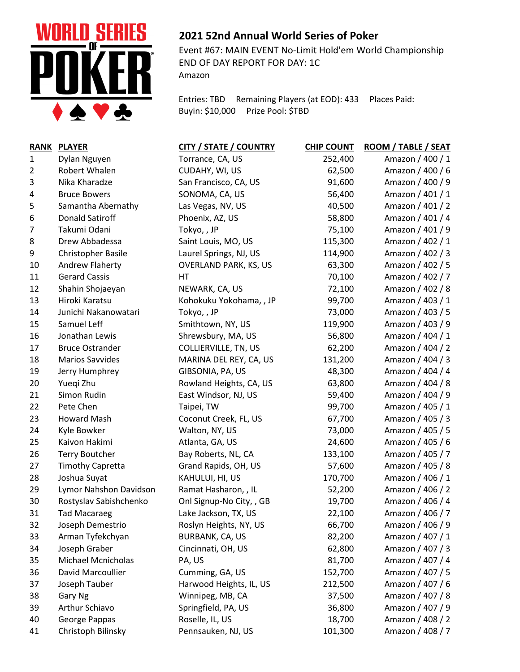

## **2021 52nd Annual World Series of Poker**

Event #67: MAIN EVENT No-Limit Hold'em World Championship END OF DAY REPORT FOR DAY: 1C Amazon

Entries: TBD Remaining Players (at EOD): 433 Places Paid: Buyin: \$10,000 Prize Pool: \$TBD

|                | RANK PLAYER               | <b>CITY / STATE / COUNTRY</b> | <b>CHIP COUNT</b> | ROOM / TABLE / SEAT |
|----------------|---------------------------|-------------------------------|-------------------|---------------------|
| 1              | Dylan Nguyen              | Torrance, CA, US              | 252,400           | Amazon / 400 / 1    |
| 2              | Robert Whalen             | CUDAHY, WI, US                | 62,500            | Amazon / 400 / 6    |
| 3              | Nika Kharadze             | San Francisco, CA, US         | 91,600            | Amazon / 400 / 9    |
| 4              | <b>Bruce Bowers</b>       | SONOMA, CA, US                | 56,400            | Amazon / 401 / 1    |
| 5              | Samantha Abernathy        | Las Vegas, NV, US             | 40,500            | Amazon / 401 / 2    |
| 6              | <b>Donald Satiroff</b>    | Phoenix, AZ, US               | 58,800            | Amazon / 401 / 4    |
| $\overline{7}$ | Takumi Odani              | Tokyo,, JP                    | 75,100            | Amazon / 401 / 9    |
| 8              | Drew Abbadessa            | Saint Louis, MO, US           | 115,300           | Amazon / 402 / 1    |
| 9              | Christopher Basile        | Laurel Springs, NJ, US        | 114,900           | Amazon / 402 / 3    |
| 10             | Andrew Flaherty           | <b>OVERLAND PARK, KS, US</b>  | 63,300            | Amazon / 402 / 5    |
| 11             | <b>Gerard Cassis</b>      | HT                            | 70,100            | Amazon / 402 / 7    |
| 12             | Shahin Shojaeyan          | NEWARK, CA, US                | 72,100            | Amazon / 402 / 8    |
| 13             | Hiroki Karatsu            | Kohokuku Yokohama, , JP       | 99,700            | Amazon / 403 / 1    |
| 14             | Junichi Nakanowatari      | Tokyo,, JP                    | 73,000            | Amazon / 403 / 5    |
| 15             | Samuel Leff               | Smithtown, NY, US             | 119,900           | Amazon / 403 / 9    |
| 16             | Jonathan Lewis            | Shrewsbury, MA, US            | 56,800            | Amazon / 404 / 1    |
| 17             | <b>Bruce Ostrander</b>    | COLLIERVILLE, TN, US          | 62,200            | Amazon / 404 / 2    |
| 18             | <b>Marios Savvides</b>    | MARINA DEL REY, CA, US        | 131,200           | Amazon / 404 / 3    |
| 19             | Jerry Humphrey            | GIBSONIA, PA, US              | 48,300            | Amazon / 404 / 4    |
| 20             | Yueqi Zhu                 | Rowland Heights, CA, US       | 63,800            | Amazon / 404 / 8    |
| 21             | Simon Rudin               | East Windsor, NJ, US          | 59,400            | Amazon / 404 / 9    |
| 22             | Pete Chen                 | Taipei, TW                    | 99,700            | Amazon / 405 / 1    |
| 23             | Howard Mash               | Coconut Creek, FL, US         | 67,700            | Amazon / 405 / 3    |
| 24             | Kyle Bowker               | Walton, NY, US                | 73,000            | Amazon / 405 / 5    |
| 25             | Kaivon Hakimi             | Atlanta, GA, US               | 24,600            | Amazon / 405 / 6    |
| 26             | <b>Terry Boutcher</b>     | Bay Roberts, NL, CA           | 133,100           | Amazon / 405 / 7    |
| 27             | <b>Timothy Capretta</b>   | Grand Rapids, OH, US          | 57,600            | Amazon / 405 / 8    |
| 28             | Joshua Suyat              | KAHULUI, HI, US               | 170,700           | Amazon / 406 / 1    |
| 29             | Lymor Nahshon Davidson    | Ramat Hasharon, , IL          | 52,200            | Amazon / 406 / 2    |
| 30             | Rostyslav Sabishchenko    | Onl Signup-No City, , GB      | 19,700            | Amazon / 406 / 4    |
| 31             | <b>Tad Macaraeg</b>       | Lake Jackson, TX, US          | 22,100            | Amazon / 406 / 7    |
| 32             | Joseph Demestrio          | Roslyn Heights, NY, US        | 66,700            | Amazon / 406 / 9    |
| 33             | Arman Tyfekchyan          | BURBANK, CA, US               | 82,200            | Amazon / 407 / 1    |
| 34             | Joseph Graber             | Cincinnati, OH, US            | 62,800            | Amazon / 407 / 3    |
| 35             | <b>Michael Mcnicholas</b> | PA, US                        | 81,700            | Amazon / 407 / 4    |
| 36             | David Marcoullier         | Cumming, GA, US               | 152,700           | Amazon / 407 / 5    |
| 37             | Joseph Tauber             | Harwood Heights, IL, US       | 212,500           | Amazon / 407 / 6    |
| 38             | Gary Ng                   | Winnipeg, MB, CA              | 37,500            | Amazon / 407 / 8    |
| 39             | Arthur Schiavo            | Springfield, PA, US           | 36,800            | Amazon / 407 / 9    |
| 40             | George Pappas             | Roselle, IL, US               | 18,700            | Amazon / 408 / 2    |
| 41             | Christoph Bilinsky        | Pennsauken, NJ, US            | 101,300           | Amazon / 408 / 7    |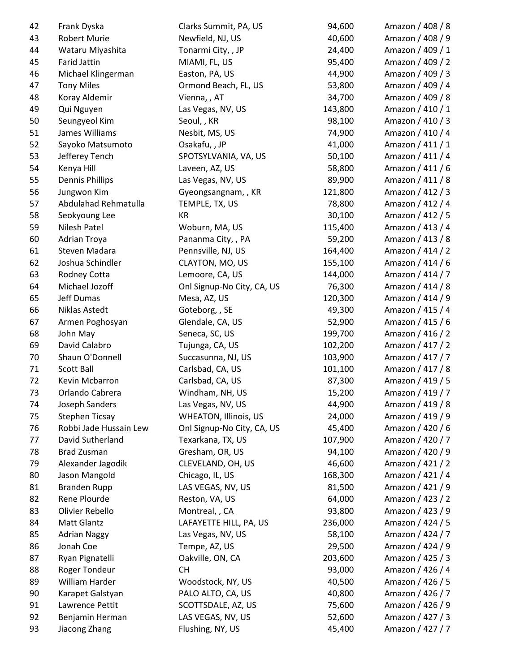| 42 | Frank Dyska            | Clarks Summit, PA, US        | 94,600  | Amazon / 408 / 8 |
|----|------------------------|------------------------------|---------|------------------|
| 43 | Robert Murie           | Newfield, NJ, US             | 40,600  | Amazon / 408 / 9 |
| 44 | Wataru Miyashita       | Tonarmi City, , JP           | 24,400  | Amazon / 409 / 1 |
| 45 | <b>Farid Jattin</b>    | MIAMI, FL, US                | 95,400  | Amazon / 409 / 2 |
| 46 | Michael Klingerman     | Easton, PA, US               | 44,900  | Amazon / 409 / 3 |
| 47 | <b>Tony Miles</b>      | Ormond Beach, FL, US         | 53,800  | Amazon / 409 / 4 |
| 48 | Koray Aldemir          | Vienna, , AT                 | 34,700  | Amazon / 409 / 8 |
| 49 | Qui Nguyen             | Las Vegas, NV, US            | 143,800 | Amazon / 410 / 1 |
| 50 | Seungyeol Kim          | Seoul, , KR                  | 98,100  | Amazon / 410 / 3 |
| 51 | James Williams         | Nesbit, MS, US               | 74,900  | Amazon / 410 / 4 |
| 52 | Sayoko Matsumoto       | Osakafu, , JP                | 41,000  | Amazon / 411 / 1 |
| 53 | Jefferey Tench         | SPOTSYLVANIA, VA, US         | 50,100  | Amazon / 411 / 4 |
| 54 | Kenya Hill             | Laveen, AZ, US               | 58,800  | Amazon / 411 / 6 |
| 55 | <b>Dennis Phillips</b> | Las Vegas, NV, US            | 89,900  | Amazon / 411 / 8 |
| 56 | Jungwon Kim            | Gyeongsangnam, , KR          | 121,800 | Amazon / 412 / 3 |
| 57 | Abdulahad Rehmatulla   | TEMPLE, TX, US               | 78,800  | Amazon / 412 / 4 |
| 58 | Seokyoung Lee          | KR                           | 30,100  | Amazon / 412 / 5 |
| 59 | Nilesh Patel           | Woburn, MA, US               | 115,400 | Amazon / 413 / 4 |
| 60 | Adrian Troya           | Pananma City, , PA           | 59,200  | Amazon / 413 / 8 |
| 61 | Steven Madara          | Pennsville, NJ, US           | 164,400 | Amazon / 414 / 2 |
| 62 | Joshua Schindler       | CLAYTON, MO, US              | 155,100 | Amazon / 414 / 6 |
| 63 | Rodney Cotta           | Lemoore, CA, US              | 144,000 | Amazon / 414 / 7 |
| 64 | Michael Jozoff         | Onl Signup-No City, CA, US   | 76,300  | Amazon / 414 / 8 |
| 65 | Jeff Dumas             | Mesa, AZ, US                 | 120,300 | Amazon / 414 / 9 |
| 66 | Niklas Astedt          | Goteborg, , SE               | 49,300  | Amazon / 415 / 4 |
| 67 | Armen Poghosyan        | Glendale, CA, US             | 52,900  | Amazon / 415 / 6 |
| 68 | John May               | Seneca, SC, US               | 199,700 | Amazon / 416 / 2 |
| 69 | David Calabro          | Tujunga, CA, US              | 102,200 | Amazon / 417 / 2 |
| 70 | Shaun O'Donnell        | Succasunna, NJ, US           | 103,900 | Amazon / 417 / 7 |
| 71 | Scott Ball             | Carlsbad, CA, US             | 101,100 | Amazon / 417 / 8 |
| 72 | Kevin Mcbarron         | Carlsbad, CA, US             | 87,300  | Amazon / 419 / 5 |
| 73 | Orlando Cabrera        | Windham, NH, US              | 15,200  | Amazon / 419 / 7 |
| 74 | Joseph Sanders         | Las Vegas, NV, US            | 44,900  | Amazon / 419 / 8 |
| 75 | <b>Stephen Ticsay</b>  | <b>WHEATON, Illinois, US</b> | 24,000  | Amazon / 419 / 9 |
| 76 | Robbi Jade Hussain Lew | Onl Signup-No City, CA, US   | 45,400  | Amazon / 420 / 6 |
| 77 | David Sutherland       | Texarkana, TX, US            | 107,900 | Amazon / 420 / 7 |
| 78 | <b>Brad Zusman</b>     | Gresham, OR, US              | 94,100  | Amazon / 420 / 9 |
| 79 | Alexander Jagodik      | CLEVELAND, OH, US            | 46,600  | Amazon / 421 / 2 |
| 80 | Jason Mangold          | Chicago, IL, US              | 168,300 | Amazon / 421 / 4 |
| 81 | <b>Branden Rupp</b>    | LAS VEGAS, NV, US            | 81,500  | Amazon / 421 / 9 |
| 82 | Rene Plourde           | Reston, VA, US               | 64,000  | Amazon / 423 / 2 |
| 83 | Olivier Rebello        | Montreal, , CA               | 93,800  | Amazon / 423 / 9 |
| 84 | <b>Matt Glantz</b>     | LAFAYETTE HILL, PA, US       | 236,000 | Amazon / 424 / 5 |
| 85 | <b>Adrian Naggy</b>    | Las Vegas, NV, US            | 58,100  | Amazon / 424 / 7 |
| 86 | Jonah Coe              | Tempe, AZ, US                | 29,500  | Amazon / 424 / 9 |
| 87 | Ryan Pignatelli        | Oakville, ON, CA             | 203,600 | Amazon / 425 / 3 |
| 88 | Roger Tondeur          | <b>CH</b>                    | 93,000  | Amazon / 426 / 4 |
| 89 | William Harder         | Woodstock, NY, US            | 40,500  | Amazon / 426 / 5 |
| 90 | Karapet Galstyan       | PALO ALTO, CA, US            | 40,800  | Amazon / 426 / 7 |
| 91 | Lawrence Pettit        | SCOTTSDALE, AZ, US           | 75,600  | Amazon / 426 / 9 |
| 92 | Benjamin Herman        | LAS VEGAS, NV, US            | 52,600  | Amazon / 427 / 3 |
| 93 | Jiacong Zhang          | Flushing, NY, US             | 45,400  | Amazon / 427 / 7 |
|    |                        |                              |         |                  |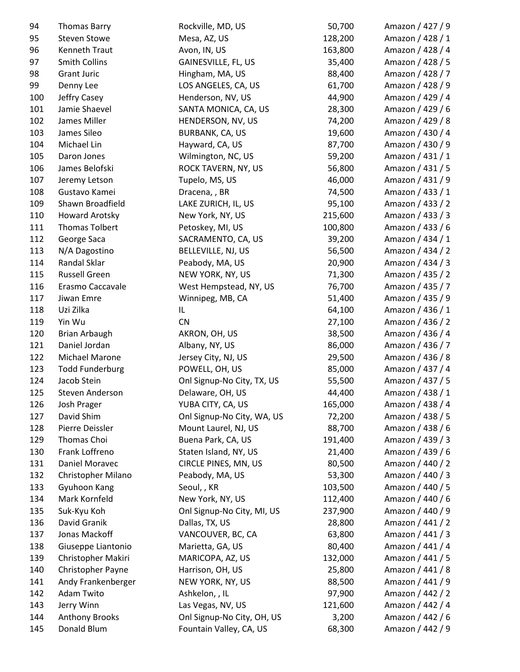| 94         | <b>Thomas Barry</b>              | Rockville, MD, US                  | 50,700           | Amazon / 427 / 9                     |
|------------|----------------------------------|------------------------------------|------------------|--------------------------------------|
| 95         | <b>Steven Stowe</b>              | Mesa, AZ, US                       | 128,200          | Amazon / 428 / 1                     |
| 96         | Kenneth Traut                    | Avon, IN, US                       | 163,800          | Amazon / 428 / 4                     |
| 97         | Smith Collins                    | GAINESVILLE, FL, US                | 35,400           | Amazon / 428 / 5                     |
| 98         | Grant Juric                      | Hingham, MA, US                    | 88,400           | Amazon / 428 / 7                     |
| 99         | Denny Lee                        | LOS ANGELES, CA, US                | 61,700           | Amazon / 428 / 9                     |
| 100        | Jeffry Casey                     | Henderson, NV, US                  | 44,900           | Amazon / 429 / 4                     |
| 101        | Jamie Shaevel                    | SANTA MONICA, CA, US               | 28,300           | Amazon / 429 / 6                     |
| 102        | James Miller                     | HENDERSON, NV, US                  | 74,200           | Amazon / 429 / 8                     |
| 103        | James Sileo                      | <b>BURBANK, CA, US</b>             | 19,600           | Amazon / 430 / 4                     |
| 104        | Michael Lin                      | Hayward, CA, US                    | 87,700           | Amazon / 430 / 9                     |
| 105        | Daron Jones                      | Wilmington, NC, US                 | 59,200           | Amazon / 431 / 1                     |
| 106        | James Belofski                   | ROCK TAVERN, NY, US                | 56,800           | Amazon / 431 / 5                     |
| 107        | Jeremy Letson                    | Tupelo, MS, US                     | 46,000           | Amazon / 431 / 9                     |
| 108        | Gustavo Kamei                    | Dracena, , BR                      | 74,500           | Amazon / 433 / 1                     |
| 109        | Shawn Broadfield                 | LAKE ZURICH, IL, US                | 95,100           | Amazon / 433 / 2                     |
| 110        | Howard Arotsky                   | New York, NY, US                   | 215,600          | Amazon / 433 / 3                     |
| 111        | <b>Thomas Tolbert</b>            | Petoskey, MI, US                   | 100,800          | Amazon / 433 / 6                     |
| 112        | George Saca                      | SACRAMENTO, CA, US                 | 39,200           | Amazon / 434 / 1                     |
| 113        | N/A Dagostino                    | BELLEVILLE, NJ, US                 | 56,500           | Amazon / 434 / 2                     |
| 114        | Randal Sklar                     | Peabody, MA, US                    | 20,900           | Amazon / 434 / 3                     |
| 115        | <b>Russell Green</b>             | NEW YORK, NY, US                   | 71,300           | Amazon / 435 / 2                     |
| 116        | Erasmo Caccavale                 | West Hempstead, NY, US             | 76,700           | Amazon / 435 / 7                     |
| 117        | Jiwan Emre                       | Winnipeg, MB, CA                   | 51,400           | Amazon / 435 / 9                     |
| 118        | Uzi Zilka                        | IL.                                | 64,100           | Amazon / 436 / 1                     |
| 119        | Yin Wu                           | CN                                 | 27,100           | Amazon / 436 / 2                     |
| 120        | <b>Brian Arbaugh</b>             | AKRON, OH, US                      | 38,500           | Amazon / 436 / 4                     |
| 121        | Daniel Jordan                    | Albany, NY, US                     | 86,000           | Amazon / 436 / 7                     |
| 122        | Michael Marone                   | Jersey City, NJ, US                | 29,500           | Amazon / 436 / 8                     |
| 123        | <b>Todd Funderburg</b>           | POWELL, OH, US                     | 85,000           | Amazon / 437 / 4                     |
| 124        | Jacob Stein                      | Onl Signup-No City, TX, US         | 55,500           | Amazon / 437 / 5                     |
| 125        | Steven Anderson                  | Delaware, OH, US                   | 44,400           | Amazon / 438 / 1                     |
| 126        | Josh Prager                      | YUBA CITY, CA, US                  | 165,000          | Amazon / 438 / 4                     |
| 127        | David Shim                       | Onl Signup-No City, WA, US         | 72,200           | Amazon / 438 / 5                     |
| 128        | Pierre Deissler                  | Mount Laurel, NJ, US               | 88,700           | Amazon / 438 / 6                     |
| 129        | Thomas Choi                      | Buena Park, CA, US                 | 191,400          | Amazon / 439 / 3                     |
| 130        | Frank Loffreno                   | Staten Island, NY, US              | 21,400           | Amazon / 439 / 6                     |
| 131        | Daniel Moravec                   | CIRCLE PINES, MN, US               | 80,500           | Amazon / 440 / 2                     |
| 132        | Christopher Milano               | Peabody, MA, US                    | 53,300           | Amazon / 440 / 3                     |
| 133        | Gyuhoon Kang                     | Seoul,, KR                         | 103,500          | Amazon / 440 / 5                     |
| 134        | Mark Kornfeld                    | New York, NY, US                   | 112,400          | Amazon / 440 / 6                     |
| 135        | Suk-Kyu Koh                      | Onl Signup-No City, MI, US         | 237,900          | Amazon / 440 / 9                     |
| 136        | David Granik                     | Dallas, TX, US                     | 28,800           | Amazon / 441 / 2                     |
| 137        | Jonas Mackoff                    | VANCOUVER, BC, CA                  | 63,800           | Amazon / 441 / 3                     |
| 138        | Giuseppe Liantonio               | Marietta, GA, US                   | 80,400           | Amazon / 441 / 4                     |
| 139        | Christopher Makiri               | MARICOPA, AZ, US                   | 132,000          | Amazon / 441 / 5                     |
| 140        | Christopher Payne                | Harrison, OH, US                   | 25,800           | Amazon / 441 / 8                     |
|            |                                  |                                    |                  |                                      |
| 141<br>142 | Andy Frankenberger<br>Adam Twito | NEW YORK, NY, US<br>Ashkelon, , IL | 88,500<br>97,900 | Amazon / 441 / 9<br>Amazon / 442 / 2 |
| 143        | Jerry Winn                       | Las Vegas, NV, US                  | 121,600          | Amazon / 442 / 4                     |
| 144        | <b>Anthony Brooks</b>            | Onl Signup-No City, OH, US         | 3,200            | Amazon / 442 / 6                     |
| 145        | Donald Blum                      |                                    | 68,300           | Amazon / 442 / 9                     |
|            |                                  | Fountain Valley, CA, US            |                  |                                      |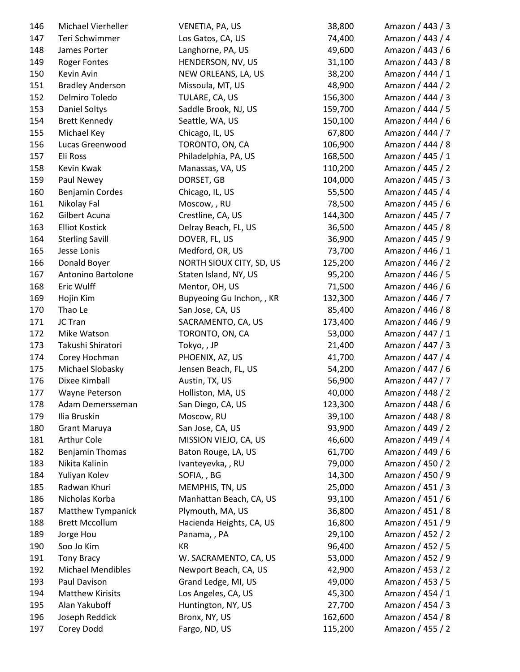| 146 | Michael Vierheller      | VENETIA, PA, US           | 38,800  | Amazon / 443 / 3 |
|-----|-------------------------|---------------------------|---------|------------------|
| 147 | Teri Schwimmer          | Los Gatos, CA, US         | 74,400  | Amazon / 443 / 4 |
| 148 | James Porter            | Langhorne, PA, US         | 49,600  | Amazon / 443 / 6 |
| 149 | <b>Roger Fontes</b>     | HENDERSON, NV, US         | 31,100  | Amazon / 443 / 8 |
| 150 | Kevin Avin              | NEW ORLEANS, LA, US       | 38,200  | Amazon / 444 / 1 |
| 151 | <b>Bradley Anderson</b> | Missoula, MT, US          | 48,900  | Amazon / 444 / 2 |
| 152 | Delmiro Toledo          | TULARE, CA, US            | 156,300 | Amazon / 444 / 3 |
| 153 | Daniel Soltys           | Saddle Brook, NJ, US      | 159,700 | Amazon / 444 / 5 |
| 154 | <b>Brett Kennedy</b>    | Seattle, WA, US           | 150,100 | Amazon / 444 / 6 |
| 155 | Michael Key             | Chicago, IL, US           | 67,800  | Amazon / 444 / 7 |
| 156 | Lucas Greenwood         | TORONTO, ON, CA           | 106,900 | Amazon / 444 / 8 |
| 157 | Eli Ross                | Philadelphia, PA, US      | 168,500 | Amazon / 445 / 1 |
| 158 | Kevin Kwak              | Manassas, VA, US          | 110,200 | Amazon / 445 / 2 |
| 159 | Paul Newey              | DORSET, GB                | 104,000 | Amazon / 445 / 3 |
| 160 | Benjamin Cordes         | Chicago, IL, US           | 55,500  | Amazon / 445 / 4 |
| 161 | Nikolay Fal             | Moscow, , RU              | 78,500  | Amazon / 445 / 6 |
| 162 | Gilbert Acuna           | Crestline, CA, US         | 144,300 | Amazon / 445 / 7 |
| 163 | <b>Elliot Kostick</b>   | Delray Beach, FL, US      | 36,500  | Amazon / 445 / 8 |
| 164 | <b>Sterling Savill</b>  | DOVER, FL, US             | 36,900  | Amazon / 445 / 9 |
| 165 | Jesse Lonis             | Medford, OR, US           | 73,700  | Amazon / 446 / 1 |
| 166 | Donald Boyer            | NORTH SIOUX CITY, SD, US  | 125,200 | Amazon / 446 / 2 |
| 167 | Antonino Bartolone      | Staten Island, NY, US     | 95,200  | Amazon / 446 / 5 |
| 168 | Eric Wulff              | Mentor, OH, US            | 71,500  | Amazon / 446 / 6 |
| 169 | Hojin Kim               | Bupyeoing Gu Inchon, , KR | 132,300 | Amazon / 446 / 7 |
| 170 | Thao Le                 | San Jose, CA, US          | 85,400  | Amazon / 446 / 8 |
| 171 | JC Tran                 | SACRAMENTO, CA, US        | 173,400 | Amazon / 446 / 9 |
| 172 | Mike Watson             | TORONTO, ON, CA           | 53,000  | Amazon / 447 / 1 |
| 173 | Takushi Shiratori       | Tokyo,, JP                | 21,400  | Amazon / 447 / 3 |
| 174 | Corey Hochman           | PHOENIX, AZ, US           | 41,700  | Amazon / 447 / 4 |
| 175 | Michael Slobasky        | Jensen Beach, FL, US      | 54,200  | Amazon / 447 / 6 |
| 176 | Dixee Kimball           | Austin, TX, US            | 56,900  | Amazon / 447 / 7 |
| 177 | Wayne Peterson          | Holliston, MA, US         | 40,000  | Amazon / 448 / 2 |
| 178 | Adam Demersseman        | San Diego, CA, US         | 123,300 | Amazon / 448 / 6 |
| 179 | Ilia Bruskin            | Moscow, RU                | 39,100  | Amazon / 448 / 8 |
| 180 | <b>Grant Maruya</b>     | San Jose, CA, US          | 93,900  | Amazon / 449 / 2 |
| 181 | Arthur Cole             | MISSION VIEJO, CA, US     | 46,600  | Amazon / 449 / 4 |
| 182 | <b>Benjamin Thomas</b>  | Baton Rouge, LA, US       | 61,700  | Amazon / 449 / 6 |
| 183 | Nikita Kalinin          | Ivanteyevka, , RU         | 79,000  | Amazon / 450 / 2 |
| 184 | Yuliyan Kolev           | SOFIA, , BG               | 14,300  | Amazon / 450 / 9 |
| 185 | Radwan Khuri            | MEMPHIS, TN, US           | 25,000  | Amazon / 451 / 3 |
| 186 | Nicholas Korba          | Manhattan Beach, CA, US   | 93,100  | Amazon / 451 / 6 |
| 187 | Matthew Tympanick       | Plymouth, MA, US          | 36,800  | Amazon / 451 / 8 |
| 188 | <b>Brett Mccollum</b>   | Hacienda Heights, CA, US  | 16,800  | Amazon / 451 / 9 |
| 189 | Jorge Hou               | Panama, , PA              | 29,100  | Amazon / 452 / 2 |
| 190 | Soo Jo Kim              | KR                        | 96,400  | Amazon / 452 / 5 |
| 191 | <b>Tony Bracy</b>       | W. SACRAMENTO, CA, US     | 53,000  | Amazon / 452 / 9 |
| 192 | Michael Mendibles       | Newport Beach, CA, US     | 42,900  | Amazon / 453 / 2 |
| 193 | Paul Davison            | Grand Ledge, MI, US       | 49,000  | Amazon / 453 / 5 |
| 194 | <b>Matthew Kirisits</b> | Los Angeles, CA, US       | 45,300  | Amazon / 454 / 1 |
| 195 | Alan Yakuboff           | Huntington, NY, US        | 27,700  | Amazon / 454 / 3 |
| 196 | Joseph Reddick          | Bronx, NY, US             | 162,600 | Amazon / 454 / 8 |
| 197 | Corey Dodd              | Fargo, ND, US             | 115,200 | Amazon / 455 / 2 |
|     |                         |                           |         |                  |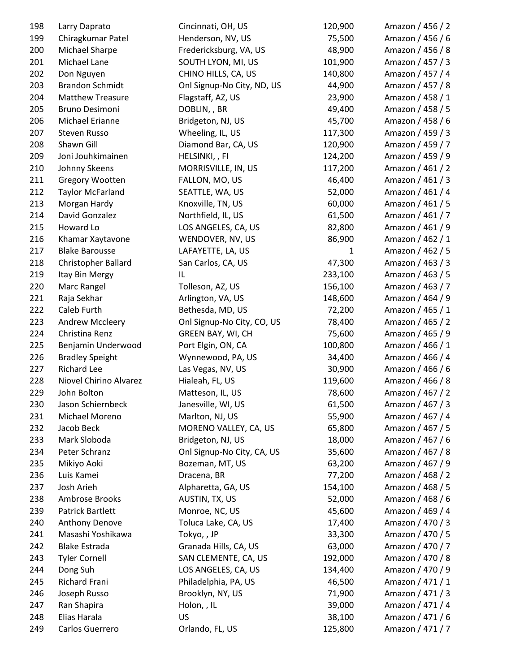| 198 | Larry Daprato           | Cincinnati, OH, US         | 120,900      | Amazon / 456 / 2 |
|-----|-------------------------|----------------------------|--------------|------------------|
| 199 | Chiragkumar Patel       | Henderson, NV, US          | 75,500       | Amazon / 456 / 6 |
| 200 | Michael Sharpe          | Fredericksburg, VA, US     | 48,900       | Amazon / 456 / 8 |
| 201 | Michael Lane            | SOUTH LYON, MI, US         | 101,900      | Amazon / 457 / 3 |
| 202 | Don Nguyen              | CHINO HILLS, CA, US        | 140,800      | Amazon / 457 / 4 |
| 203 | <b>Brandon Schmidt</b>  | Onl Signup-No City, ND, US | 44,900       | Amazon / 457 / 8 |
| 204 | <b>Matthew Treasure</b> | Flagstaff, AZ, US          | 23,900       | Amazon / 458 / 1 |
| 205 | Bruno Desimoni          | DOBLIN, , BR               | 49,400       | Amazon / 458 / 5 |
| 206 | Michael Erianne         | Bridgeton, NJ, US          | 45,700       | Amazon / 458 / 6 |
| 207 | Steven Russo            | Wheeling, IL, US           | 117,300      | Amazon / 459 / 3 |
| 208 | Shawn Gill              | Diamond Bar, CA, US        | 120,900      | Amazon / 459 / 7 |
| 209 | Joni Jouhkimainen       | HELSINKI,, FI              | 124,200      | Amazon / 459 / 9 |
| 210 | Johnny Skeens           | MORRISVILLE, IN, US        | 117,200      | Amazon / 461 / 2 |
| 211 | Gregory Wootten         | FALLON, MO, US             | 46,400       | Amazon / 461 / 3 |
| 212 | <b>Taylor McFarland</b> | SEATTLE, WA, US            | 52,000       | Amazon / 461 / 4 |
| 213 | Morgan Hardy            | Knoxville, TN, US          | 60,000       | Amazon / 461 / 5 |
| 214 | David Gonzalez          | Northfield, IL, US         | 61,500       | Amazon / 461 / 7 |
| 215 | Howard Lo               | LOS ANGELES, CA, US        | 82,800       | Amazon / 461 / 9 |
| 216 | Khamar Xaytavone        | WENDOVER, NV, US           | 86,900       | Amazon / 462 / 1 |
| 217 | <b>Blake Barousse</b>   | LAFAYETTE, LA, US          | $\mathbf{1}$ | Amazon / 462 / 5 |
| 218 | Christopher Ballard     | San Carlos, CA, US         | 47,300       | Amazon / 463 / 3 |
| 219 | Itay Bin Mergy          | IL                         | 233,100      | Amazon / 463 / 5 |
| 220 | Marc Rangel             | Tolleson, AZ, US           | 156,100      | Amazon / 463 / 7 |
| 221 | Raja Sekhar             | Arlington, VA, US          | 148,600      | Amazon / 464 / 9 |
| 222 | Caleb Furth             | Bethesda, MD, US           | 72,200       | Amazon / 465 / 1 |
| 223 | Andrew Mccleery         | Onl Signup-No City, CO, US | 78,400       | Amazon / 465 / 2 |
| 224 | Christina Renz          | GREEN BAY, WI, CH          | 75,600       | Amazon / 465 / 9 |
| 225 | Benjamin Underwood      | Port Elgin, ON, CA         | 100,800      | Amazon / 466 / 1 |
| 226 | <b>Bradley Speight</b>  | Wynnewood, PA, US          | 34,400       | Amazon / 466 / 4 |
| 227 | <b>Richard Lee</b>      | Las Vegas, NV, US          | 30,900       | Amazon / 466 / 6 |
| 228 | Niovel Chirino Alvarez  | Hialeah, FL, US            | 119,600      | Amazon / 466 / 8 |
| 229 | John Bolton             | Matteson, IL, US           | 78,600       | Amazon / 467 / 2 |
| 230 | Jason Schiernbeck       | Janesville, WI, US         | 61,500       | Amazon / 467 / 3 |
| 231 | Michael Moreno          | Marlton, NJ, US            | 55,900       | Amazon / 467 / 4 |
| 232 | Jacob Beck              | MORENO VALLEY, CA, US      | 65,800       | Amazon / 467 / 5 |
| 233 | Mark Sloboda            | Bridgeton, NJ, US          | 18,000       | Amazon / 467 / 6 |
| 234 | Peter Schranz           | Onl Signup-No City, CA, US | 35,600       | Amazon / 467 / 8 |
| 235 | Mikiyo Aoki             | Bozeman, MT, US            | 63,200       | Amazon / 467 / 9 |
| 236 | Luis Kamei              | Dracena, BR                | 77,200       | Amazon / 468 / 2 |
| 237 | Josh Arieh              | Alpharetta, GA, US         | 154,100      | Amazon / 468 / 5 |
| 238 | Ambrose Brooks          | AUSTIN, TX, US             | 52,000       | Amazon / 468 / 6 |
| 239 | <b>Patrick Bartlett</b> | Monroe, NC, US             | 45,600       | Amazon / 469 / 4 |
| 240 | Anthony Denove          | Toluca Lake, CA, US        | 17,400       | Amazon / 470 / 3 |
| 241 | Masashi Yoshikawa       | Tokyo,, JP                 | 33,300       | Amazon / 470 / 5 |
| 242 | <b>Blake Estrada</b>    | Granada Hills, CA, US      | 63,000       | Amazon / 470 / 7 |
| 243 | <b>Tyler Cornell</b>    | SAN CLEMENTE, CA, US       | 192,000      | Amazon / 470 / 8 |
| 244 | Dong Suh                | LOS ANGELES, CA, US        | 134,400      | Amazon / 470 / 9 |
| 245 | Richard Frani           | Philadelphia, PA, US       | 46,500       | Amazon / 471 / 1 |
| 246 | Joseph Russo            | Brooklyn, NY, US           | 71,900       | Amazon / 471 / 3 |
| 247 | Ran Shapira             | Holon, , IL                | 39,000       | Amazon / 471 / 4 |
| 248 | Elias Harala            | <b>US</b>                  | 38,100       | Amazon / 471 / 6 |
| 249 | Carlos Guerrero         | Orlando, FL, US            | 125,800      | Amazon / 471 / 7 |
|     |                         |                            |              |                  |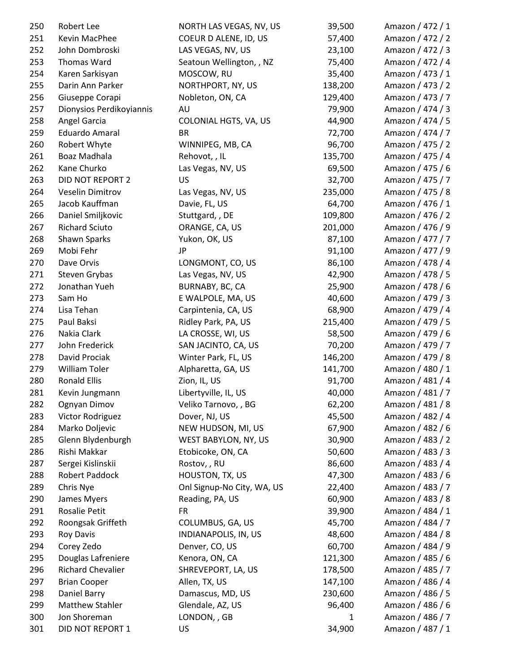| 250 | Robert Lee               | NORTH LAS VEGAS, NV, US    | 39,500  | Amazon / 472 / 1 |
|-----|--------------------------|----------------------------|---------|------------------|
| 251 | Kevin MacPhee            | COEUR D ALENE, ID, US      | 57,400  | Amazon / 472 / 2 |
| 252 | John Dombroski           | LAS VEGAS, NV, US          | 23,100  | Amazon / 472 / 3 |
| 253 | Thomas Ward              | Seatoun Wellington, , NZ   | 75,400  | Amazon / 472 / 4 |
| 254 | Karen Sarkisyan          | MOSCOW, RU                 | 35,400  | Amazon / 473 / 1 |
| 255 | Darin Ann Parker         | NORTHPORT, NY, US          | 138,200 | Amazon / 473 / 2 |
| 256 | Giuseppe Corapi          | Nobleton, ON, CA           | 129,400 | Amazon / 473 / 7 |
| 257 | Dionysios Perdikoyiannis | AU                         | 79,900  | Amazon / 474 / 3 |
| 258 | Angel Garcia             | COLONIAL HGTS, VA, US      | 44,900  | Amazon / 474 / 5 |
| 259 | Eduardo Amaral           | <b>BR</b>                  | 72,700  | Amazon / 474 / 7 |
| 260 | Robert Whyte             | WINNIPEG, MB, CA           | 96,700  | Amazon / 475 / 2 |
| 261 | Boaz Madhala             | Rehovot, , IL              | 135,700 | Amazon / 475 / 4 |
| 262 | Kane Churko              | Las Vegas, NV, US          | 69,500  | Amazon / 475 / 6 |
| 263 | DID NOT REPORT 2         | US                         | 32,700  | Amazon / 475 / 7 |
| 264 | Veselin Dimitrov         | Las Vegas, NV, US          | 235,000 | Amazon / 475 / 8 |
| 265 | Jacob Kauffman           | Davie, FL, US              | 64,700  | Amazon / 476 / 1 |
| 266 | Daniel Smiljkovic        | Stuttgard, , DE            | 109,800 | Amazon / 476 / 2 |
| 267 | <b>Richard Sciuto</b>    | ORANGE, CA, US             | 201,000 | Amazon / 476 / 9 |
| 268 | Shawn Sparks             | Yukon, OK, US              | 87,100  | Amazon / 477 / 7 |
| 269 | Mobi Fehr                | <b>JP</b>                  | 91,100  | Amazon / 477 / 9 |
| 270 | Dave Orvis               | LONGMONT, CO, US           | 86,100  | Amazon / 478 / 4 |
| 271 | Steven Grybas            | Las Vegas, NV, US          | 42,900  | Amazon / 478 / 5 |
| 272 | Jonathan Yueh            | BURNABY, BC, CA            | 25,900  | Amazon / 478 / 6 |
| 273 | Sam Ho                   | E WALPOLE, MA, US          | 40,600  | Amazon / 479 / 3 |
| 274 | Lisa Tehan               | Carpintenia, CA, US        | 68,900  | Amazon / 479 / 4 |
| 275 | Paul Baksi               | Ridley Park, PA, US        | 215,400 | Amazon / 479 / 5 |
| 276 | Nakia Clark              | LA CROSSE, WI, US          | 58,500  | Amazon / 479 / 6 |
| 277 | John Frederick           | SAN JACINTO, CA, US        | 70,200  | Amazon / 479 / 7 |
| 278 | David Prociak            | Winter Park, FL, US        | 146,200 | Amazon / 479 / 8 |
| 279 | <b>William Toler</b>     | Alpharetta, GA, US         | 141,700 | Amazon / 480 / 1 |
| 280 | <b>Ronald Ellis</b>      | Zion, IL, US               | 91,700  | Amazon / 481 / 4 |
| 281 | Kevin Jungmann           | Libertyville, IL, US       | 40,000  | Amazon / 481 / 7 |
| 282 | Ognyan Dimov             | Veliko Tarnovo, , BG       | 62,200  | Amazon / 481 / 8 |
| 283 | Victor Rodriguez         | Dover, NJ, US              | 45,500  | Amazon / 482 / 4 |
| 284 | Marko Doljevic           | NEW HUDSON, MI, US         | 67,900  | Amazon / 482 / 6 |
| 285 | Glenn Blydenburgh        | WEST BABYLON, NY, US       | 30,900  | Amazon / 483 / 2 |
| 286 | Rishi Makkar             | Etobicoke, ON, CA          | 50,600  | Amazon / 483 / 3 |
| 287 | Sergei Kislinskii        | Rostov, , RU               | 86,600  | Amazon / 483 / 4 |
| 288 | <b>Robert Paddock</b>    | HOUSTON, TX, US            | 47,300  | Amazon / 483 / 6 |
| 289 | Chris Nye                | Onl Signup-No City, WA, US | 22,400  | Amazon / 483 / 7 |
| 290 | James Myers              | Reading, PA, US            | 60,900  | Amazon / 483 / 8 |
| 291 | Rosalie Petit            | <b>FR</b>                  | 39,900  | Amazon / 484 / 1 |
| 292 | Roongsak Griffeth        | COLUMBUS, GA, US           | 45,700  | Amazon / 484 / 7 |
| 293 | <b>Roy Davis</b>         | INDIANAPOLIS, IN, US       | 48,600  | Amazon / 484 / 8 |
| 294 | Corey Zedo               | Denver, CO, US             | 60,700  | Amazon / 484 / 9 |
| 295 | Douglas Lafreniere       | Kenora, ON, CA             | 121,300 | Amazon / 485 / 6 |
| 296 | <b>Richard Chevalier</b> | SHREVEPORT, LA, US         | 178,500 | Amazon / 485 / 7 |
| 297 | <b>Brian Cooper</b>      | Allen, TX, US              | 147,100 | Amazon / 486 / 4 |
| 298 | Daniel Barry             | Damascus, MD, US           | 230,600 | Amazon / 486 / 5 |
| 299 | <b>Matthew Stahler</b>   | Glendale, AZ, US           | 96,400  | Amazon / 486 / 6 |
| 300 | Jon Shoreman             | LONDON, , GB               | 1       | Amazon / 486 / 7 |
| 301 | DID NOT REPORT 1         | US                         | 34,900  | Amazon / 487 / 1 |
|     |                          |                            |         |                  |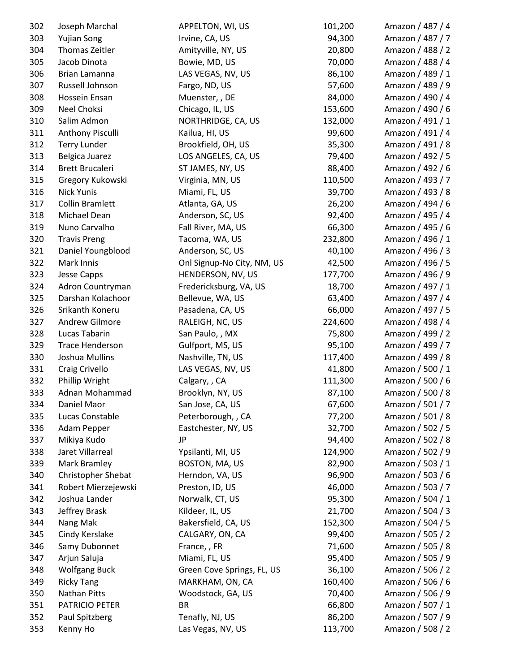| 302 | Joseph Marchal         | APPELTON, WI, US           | 101,200 | Amazon / 487 / 4 |
|-----|------------------------|----------------------------|---------|------------------|
| 303 | <b>Yujian Song</b>     | Irvine, CA, US             | 94,300  | Amazon / 487 / 7 |
| 304 | Thomas Zeitler         | Amityville, NY, US         | 20,800  | Amazon / 488 / 2 |
| 305 | Jacob Dinota           | Bowie, MD, US              | 70,000  | Amazon / 488 / 4 |
| 306 | Brian Lamanna          | LAS VEGAS, NV, US          | 86,100  | Amazon / 489 / 1 |
| 307 | Russell Johnson        | Fargo, ND, US              | 57,600  | Amazon / 489 / 9 |
| 308 | Hossein Ensan          | Muenster, , DE             | 84,000  | Amazon / 490 / 4 |
| 309 | Neel Choksi            | Chicago, IL, US            | 153,600 | Amazon / 490 / 6 |
| 310 | Salim Admon            | NORTHRIDGE, CA, US         | 132,000 | Amazon / 491 / 1 |
| 311 | Anthony Pisculli       | Kailua, HI, US             | 99,600  | Amazon / 491 / 4 |
| 312 | <b>Terry Lunder</b>    | Brookfield, OH, US         | 35,300  | Amazon / 491 / 8 |
| 313 | Belgica Juarez         | LOS ANGELES, CA, US        | 79,400  | Amazon / 492 / 5 |
| 314 | <b>Brett Brucaleri</b> | ST JAMES, NY, US           | 88,400  | Amazon / 492 / 6 |
| 315 | Gregory Kukowski       | Virginia, MN, US           | 110,500 | Amazon / 493 / 7 |
| 316 | <b>Nick Yunis</b>      | Miami, FL, US              | 39,700  | Amazon / 493 / 8 |
| 317 | <b>Collin Bramlett</b> | Atlanta, GA, US            | 26,200  | Amazon / 494 / 6 |
| 318 | Michael Dean           | Anderson, SC, US           | 92,400  | Amazon / 495 / 4 |
| 319 | Nuno Carvalho          | Fall River, MA, US         | 66,300  | Amazon / 495 / 6 |
| 320 | <b>Travis Preng</b>    | Tacoma, WA, US             | 232,800 | Amazon / 496 / 1 |
| 321 | Daniel Youngblood      | Anderson, SC, US           | 40,100  | Amazon / 496 / 3 |
| 322 | Mark Innis             | Onl Signup-No City, NM, US | 42,500  | Amazon / 496 / 5 |
| 323 | Jesse Capps            | HENDERSON, NV, US          | 177,700 | Amazon / 496 / 9 |
| 324 | Adron Countryman       | Fredericksburg, VA, US     | 18,700  | Amazon / 497 / 1 |
| 325 | Darshan Kolachoor      | Bellevue, WA, US           | 63,400  | Amazon / 497 / 4 |
| 326 | Srikanth Koneru        | Pasadena, CA, US           | 66,000  | Amazon / 497 / 5 |
| 327 | Andrew Gilmore         | RALEIGH, NC, US            | 224,600 | Amazon / 498 / 4 |
| 328 | Lucas Tabarin          | San Paulo, , MX            | 75,800  | Amazon / 499 / 2 |
| 329 | <b>Trace Henderson</b> | Gulfport, MS, US           | 95,100  | Amazon / 499 / 7 |
| 330 | Joshua Mullins         | Nashville, TN, US          | 117,400 | Amazon / 499 / 8 |
| 331 | Craig Crivello         | LAS VEGAS, NV, US          | 41,800  | Amazon / 500 / 1 |
| 332 | Phillip Wright         | Calgary, , CA              | 111,300 | Amazon / 500 / 6 |
| 333 | Adnan Mohammad         | Brooklyn, NY, US           | 87,100  | Amazon / 500 / 8 |
| 334 | Daniel Maor            | San Jose, CA, US           | 67,600  | Amazon / 501 / 7 |
| 335 | Lucas Constable        | Peterborough, , CA         | 77,200  | Amazon / 501 / 8 |
| 336 | Adam Pepper            | Eastchester, NY, US        | 32,700  | Amazon / 502 / 5 |
| 337 | Mikiya Kudo            | JP                         | 94,400  | Amazon / 502 / 8 |
| 338 | Jaret Villarreal       | Ypsilanti, MI, US          | 124,900 | Amazon / 502 / 9 |
| 339 | Mark Bramley           | BOSTON, MA, US             | 82,900  | Amazon / 503 / 1 |
| 340 | Christopher Shebat     | Herndon, VA, US            | 96,900  | Amazon / 503 / 6 |
| 341 | Robert Mierzejewski    | Preston, ID, US            | 46,000  | Amazon / 503 / 7 |
| 342 | Joshua Lander          | Norwalk, CT, US            | 95,300  | Amazon / 504 / 1 |
| 343 | Jeffrey Brask          | Kildeer, IL, US            | 21,700  | Amazon / 504 / 3 |
| 344 | Nang Mak               | Bakersfield, CA, US        | 152,300 | Amazon / 504 / 5 |
| 345 | Cindy Kerslake         | CALGARY, ON, CA            | 99,400  | Amazon / 505 / 2 |
| 346 | Samy Dubonnet          | France, , FR               | 71,600  | Amazon / 505 / 8 |
| 347 | Arjun Saluja           | Miami, FL, US              | 95,400  | Amazon / 505 / 9 |
| 348 | <b>Wolfgang Buck</b>   | Green Cove Springs, FL, US | 36,100  | Amazon / 506 / 2 |
| 349 | <b>Ricky Tang</b>      | MARKHAM, ON, CA            | 160,400 | Amazon / 506 / 6 |
| 350 | Nathan Pitts           | Woodstock, GA, US          | 70,400  | Amazon / 506 / 9 |
| 351 | PATRICIO PETER         | <b>BR</b>                  | 66,800  | Amazon / 507 / 1 |
| 352 | Paul Spitzberg         | Tenafly, NJ, US            | 86,200  | Amazon / 507 / 9 |
| 353 | Kenny Ho               | Las Vegas, NV, US          | 113,700 | Amazon / 508 / 2 |
|     |                        |                            |         |                  |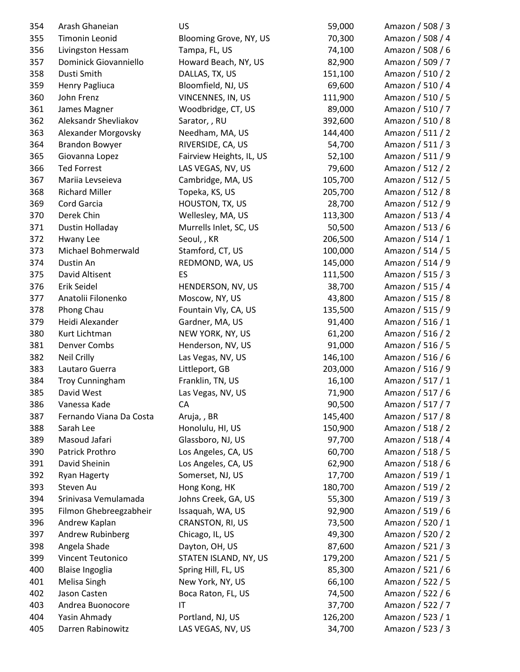| 354 | Arash Ghaneian          | US                       | 59,000  | Amazon / 508 / 3 |
|-----|-------------------------|--------------------------|---------|------------------|
| 355 | <b>Timonin Leonid</b>   | Blooming Grove, NY, US   | 70,300  | Amazon / 508 / 4 |
| 356 | Livingston Hessam       | Tampa, FL, US            | 74,100  | Amazon / 508 / 6 |
| 357 | Dominick Giovanniello   | Howard Beach, NY, US     | 82,900  | Amazon / 509 / 7 |
| 358 | Dusti Smith             | DALLAS, TX, US           | 151,100 | Amazon / 510 / 2 |
| 359 | <b>Henry Pagliuca</b>   | Bloomfield, NJ, US       | 69,600  | Amazon / 510 / 4 |
| 360 | John Frenz              | VINCENNES, IN, US        | 111,900 | Amazon / 510 / 5 |
| 361 | James Magner            | Woodbridge, CT, US       | 89,000  | Amazon / 510 / 7 |
| 362 | Aleksandr Shevliakov    | Sarator,, RU             | 392,600 | Amazon / 510 / 8 |
| 363 | Alexander Morgovsky     | Needham, MA, US          | 144,400 | Amazon / 511 / 2 |
| 364 | <b>Brandon Bowyer</b>   | RIVERSIDE, CA, US        | 54,700  | Amazon / 511 / 3 |
| 365 | Giovanna Lopez          | Fairview Heights, IL, US | 52,100  | Amazon / 511 / 9 |
| 366 | <b>Ted Forrest</b>      | LAS VEGAS, NV, US        | 79,600  | Amazon / 512 / 2 |
| 367 | Mariia Levseieva        | Cambridge, MA, US        | 105,700 | Amazon / 512 / 5 |
| 368 | <b>Richard Miller</b>   | Topeka, KS, US           | 205,700 | Amazon / 512 / 8 |
| 369 | Cord Garcia             | HOUSTON, TX, US          | 28,700  | Amazon / 512 / 9 |
| 370 | Derek Chin              | Wellesley, MA, US        | 113,300 | Amazon / 513 / 4 |
| 371 | Dustin Holladay         | Murrells Inlet, SC, US   | 50,500  | Amazon / 513 / 6 |
| 372 | Hwany Lee               | Seoul, , KR              | 206,500 | Amazon / 514 / 1 |
| 373 | Michael Bohmerwald      | Stamford, CT, US         | 100,000 | Amazon / 514 / 5 |
| 374 | Dustin An               | REDMOND, WA, US          | 145,000 | Amazon / 514 / 9 |
| 375 | David Altisent          | ES                       | 111,500 | Amazon / 515 / 3 |
| 376 | Erik Seidel             | HENDERSON, NV, US        | 38,700  | Amazon / 515 / 4 |
| 377 | Anatolii Filonenko      | Moscow, NY, US           | 43,800  | Amazon / 515 / 8 |
| 378 | Phong Chau              | Fountain Vly, CA, US     | 135,500 | Amazon / 515 / 9 |
| 379 | Heidi Alexander         | Gardner, MA, US          | 91,400  | Amazon / 516 / 1 |
| 380 | Kurt Lichtman           | NEW YORK, NY, US         | 61,200  | Amazon / 516 / 2 |
| 381 | <b>Denver Combs</b>     | Henderson, NV, US        | 91,000  | Amazon / 516 / 5 |
| 382 | <b>Neil Crilly</b>      | Las Vegas, NV, US        | 146,100 | Amazon / 516 / 6 |
| 383 | Lautaro Guerra          | Littleport, GB           | 203,000 | Amazon / 516 / 9 |
| 384 | <b>Troy Cunningham</b>  | Franklin, TN, US         | 16,100  | Amazon / 517 / 1 |
| 385 | David West              | Las Vegas, NV, US        | 71,900  | Amazon / 517 / 6 |
| 386 | Vanessa Kade            | СA                       | 90,500  | Amazon / 517 / 7 |
| 387 | Fernando Viana Da Costa | Aruja,, BR               | 145,400 | Amazon / 517 / 8 |
| 388 | Sarah Lee               | Honolulu, HI, US         | 150,900 | Amazon / 518 / 2 |
| 389 | Masoud Jafari           | Glassboro, NJ, US        | 97,700  | Amazon / 518 / 4 |
| 390 | Patrick Prothro         | Los Angeles, CA, US      | 60,700  | Amazon / 518 / 5 |
| 391 | David Sheinin           | Los Angeles, CA, US      | 62,900  | Amazon / 518 / 6 |
| 392 | <b>Ryan Hagerty</b>     | Somerset, NJ, US         | 17,700  | Amazon / 519 / 1 |
| 393 | Steven Au               | Hong Kong, HK            | 180,700 | Amazon / 519 / 2 |
| 394 | Srinivasa Vemulamada    | Johns Creek, GA, US      | 55,300  | Amazon / 519 / 3 |
| 395 | Filmon Ghebreegzabheir  | Issaquah, WA, US         | 92,900  | Amazon / 519 / 6 |
| 396 | Andrew Kaplan           | CRANSTON, RI, US         | 73,500  | Amazon / 520 / 1 |
| 397 | Andrew Rubinberg        | Chicago, IL, US          | 49,300  | Amazon / 520 / 2 |
| 398 | Angela Shade            | Dayton, OH, US           | 87,600  | Amazon / 521 / 3 |
| 399 | Vincent Teutonico       | STATEN ISLAND, NY, US    | 179,200 | Amazon / 521 / 5 |
| 400 | Blaise Ingoglia         | Spring Hill, FL, US      | 85,300  | Amazon / 521 / 6 |
| 401 | Melisa Singh            | New York, NY, US         | 66,100  | Amazon / 522 / 5 |
| 402 | Jason Casten            | Boca Raton, FL, US       | 74,500  | Amazon / 522 / 6 |
| 403 | Andrea Buonocore        | IT                       | 37,700  | Amazon / 522 / 7 |
| 404 | Yasin Ahmady            | Portland, NJ, US         | 126,200 | Amazon / 523 / 1 |
| 405 | Darren Rabinowitz       | LAS VEGAS, NV, US        | 34,700  | Amazon / 523 / 3 |
|     |                         |                          |         |                  |